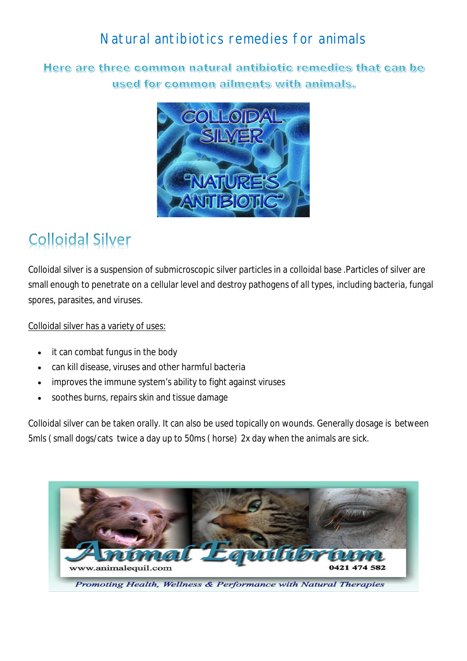## Natural antibiotics remedies for animals

Here are three common natural antibiotic remedies that can be used for common ailments with animals.



## **Colloidal Silver**

Colloidal silver is a suspension of submicroscopic silver particles in a colloidal base .Particles of silver are small enough to penetrate on a cellular level and destroy pathogens of all types, including bacteria, fungal spores, parasites, and viruses.

Colloidal silver has a variety of uses:

- it can combat fungus in the body
- can kill disease, viruses and other harmful bacteria
- improves the immune system's ability to fight against viruses
- soothes burns, repairs skin and tissue damage

Colloidal silver can be taken orally. It can also be used topically on wounds. Generally dosage is between 5mls ( small dogs/cats twice a day up to 50ms ( horse) 2x day when the animals are sick.